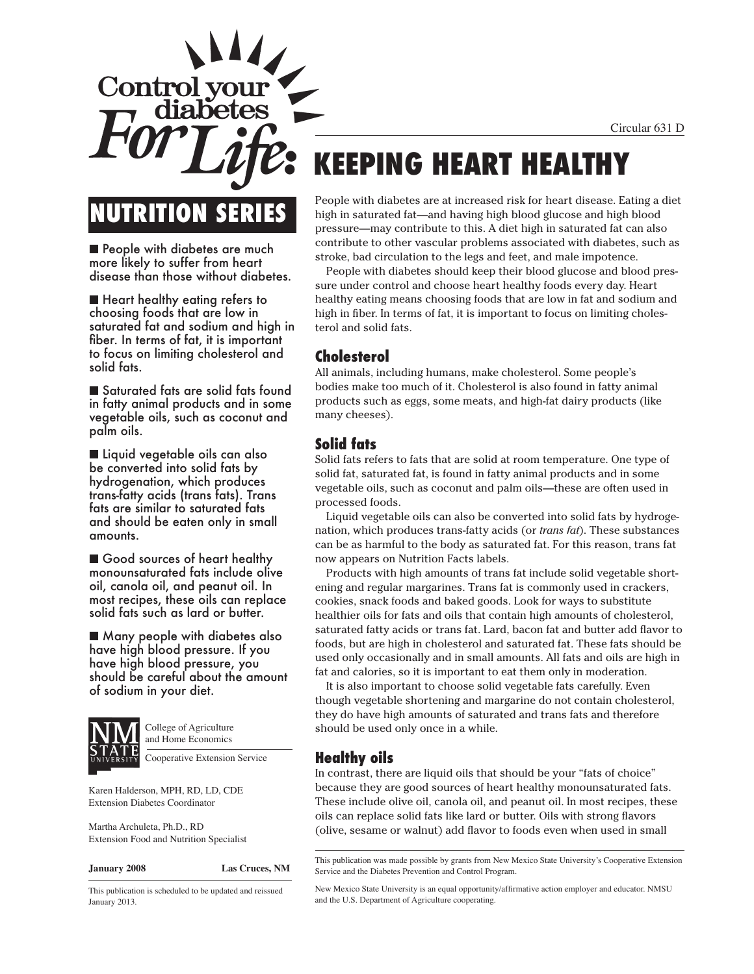Circular 631 D



# **NUTRITION SERIES**

■ People with diabetes are much more likely to suffer from heart disease than those without diabetes.

■ Heart healthy eating refers to choosing foods that are low in saturated fat and sodium and high in fiber. In terms of fat, it is important to focus on limiting cholesterol and solid fats.

■ Saturated fats are solid fats found in fatty animal products and in some vegetable oils, such as coconut and palm oils.

■ Liquid vegetable oils can also be converted into solid fats by hydrogenation, which produces trans-fatty acids (trans fats). Trans fats are similar to saturated fats and should be eaten only in small amounts.

■ Good sources of heart healthy monounsaturated fats include olive oil, canola oil, and peanut oil. In most recipes, these oils can replace solid fats such as lard or butter.

■ Many people with diabetes also have high blood pressure. If you have high blood pressure, you should be careful about the amount of sodium in your diet.



College of Agriculture and Home Economics

Cooperative Extension Service

Karen Halderson, MPH, RD, LD, CDE Extension Diabetes Coordinator

Martha Archuleta, Ph.D., RD Extension Food and Nutrition Specialist

**January 2008 Las Cruces, NM**

This publication is scheduled to be updated and reissued January 2013.

# **KEEPING HEART HEALTHY**

People with diabetes are at increased risk for heart disease. Eating a diet high in saturated fat—and having high blood glucose and high blood pressure—may contribute to this. A diet high in saturated fat can also contribute to other vascular problems associated with diabetes, such as stroke, bad circulation to the legs and feet, and male impotence.

People with diabetes should keep their blood glucose and blood pressure under control and choose heart healthy foods every day. Heart healthy eating means choosing foods that are low in fat and sodium and high in fiber. In terms of fat, it is important to focus on limiting cholesterol and solid fats.

# **Cholesterol**

All animals, including humans, make cholesterol. Some people's bodies make too much of it. Cholesterol is also found in fatty animal products such as eggs, some meats, and high-fat dairy products (like many cheeses).

# **Solid fats**

Solid fats refers to fats that are solid at room temperature. One type of solid fat, saturated fat, is found in fatty animal products and in some vegetable oils, such as coconut and palm oils—these are often used in processed foods.

Liquid vegetable oils can also be converted into solid fats by hydrogenation, which produces trans-fatty acids (or *trans fat*). These substances can be as harmful to the body as saturated fat. For this reason, trans fat now appears on Nutrition Facts labels.

Products with high amounts of trans fat include solid vegetable shortening and regular margarines. Trans fat is commonly used in crackers, cookies, snack foods and baked goods. Look for ways to substitute healthier oils for fats and oils that contain high amounts of cholesterol, saturated fatty acids or trans fat. Lard, bacon fat and butter add flavor to foods, but are high in cholesterol and saturated fat. These fats should be used only occasionally and in small amounts. All fats and oils are high in fat and calories, so it is important to eat them only in moderation.

It is also important to choose solid vegetable fats carefully. Even though vegetable shortening and margarine do not contain cholesterol, they do have high amounts of saturated and trans fats and therefore should be used only once in a while.

# **Healthy oils**

In contrast, there are liquid oils that should be your "fats of choice" because they are good sources of heart healthy monounsaturated fats. These include olive oil, canola oil, and peanut oil. In most recipes, these oils can replace solid fats like lard or butter. Oils with strong flavors (olive, sesame or walnut) add flavor to foods even when used in small

This publication was made possible by grants from New Mexico State University's Cooperative Extension Service and the Diabetes Prevention and Control Program.

New Mexico State University is an equal opportunity/affirmative action employer and educator. NMSU and the U.S. Department of Agriculture cooperating.